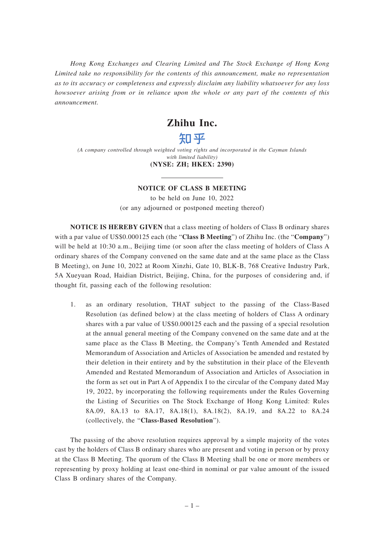*Hong Kong Exchanges and Clearing Limited and The Stock Exchange of Hong Kong Limited take no responsibility for the contents of this announcement, make no representation as to its accuracy or completeness and expressly disclaim any liability whatsoever for any loss howsoever arising from or in reliance upon the whole or any part of the contents of this announcement.*

# **Zhihu Inc.**

# 知平

*(A company controlled through weighted voting rights and incorporated in the Cayman Islands with limited liability)* **(NYSE: ZH; HKEX: 2390)**

## **NOTICE OF CLASS B MEETING**

to be held on June 10, 2022 (or any adjourned or postponed meeting thereof)

**NOTICE IS HEREBY GIVEN** that a class meeting of holders of Class B ordinary shares with a par value of US\$0.000125 each (the "**Class B Meeting**") of Zhihu Inc. (the "**Company**") will be held at 10:30 a.m., Beijing time (or soon after the class meeting of holders of Class A ordinary shares of the Company convened on the same date and at the same place as the Class B Meeting), on June 10, 2022 at Room Xinzhi, Gate 10, BLK-B, 768 Creative Industry Park, 5A Xueyuan Road, Haidian District, Beijing, China, for the purposes of considering and, if thought fit, passing each of the following resolution:

1. as an ordinary resolution, THAT subject to the passing of the Class-Based Resolution (as defined below) at the class meeting of holders of Class A ordinary shares with a par value of US\$0.000125 each and the passing of a special resolution at the annual general meeting of the Company convened on the same date and at the same place as the Class B Meeting, the Company's Tenth Amended and Restated Memorandum of Association and Articles of Association be amended and restated by their deletion in their entirety and by the substitution in their place of the Eleventh Amended and Restated Memorandum of Association and Articles of Association in the form as set out in Part A of Appendix I to the circular of the Company dated May 19, 2022, by incorporating the following requirements under the Rules Governing the Listing of Securities on The Stock Exchange of Hong Kong Limited: Rules 8A.09, 8A.13 to 8A.17, 8A.18(1), 8A.18(2), 8A.19, and 8A.22 to 8A.24 (collectively, the "**Class-Based Resolution**").

The passing of the above resolution requires approval by a simple majority of the votes cast by the holders of Class B ordinary shares who are present and voting in person or by proxy at the Class B Meeting. The quorum of the Class B Meeting shall be one or more members or representing by proxy holding at least one-third in nominal or par value amount of the issued Class B ordinary shares of the Company.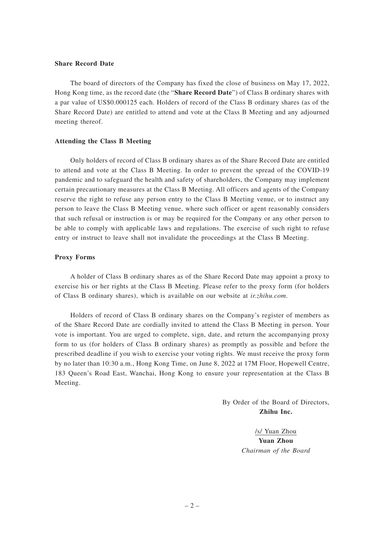#### **Share Record Date**

The board of directors of the Company has fixed the close of business on May 17, 2022, Hong Kong time, as the record date (the "**Share Record Date**") of Class B ordinary shares with a par value of US\$0.000125 each. Holders of record of the Class B ordinary shares (as of the Share Record Date) are entitled to attend and vote at the Class B Meeting and any adjourned meeting thereof.

#### **Attending the Class B Meeting**

Only holders of record of Class B ordinary shares as of the Share Record Date are entitled to attend and vote at the Class B Meeting. In order to prevent the spread of the COVID-19 pandemic and to safeguard the health and safety of shareholders, the Company may implement certain precautionary measures at the Class B Meeting. All officers and agents of the Company reserve the right to refuse any person entry to the Class B Meeting venue, or to instruct any person to leave the Class B Meeting venue, where such officer or agent reasonably considers that such refusal or instruction is or may be required for the Company or any other person to be able to comply with applicable laws and regulations. The exercise of such right to refuse entry or instruct to leave shall not invalidate the proceedings at the Class B Meeting.

### **Proxy Forms**

A holder of Class B ordinary shares as of the Share Record Date may appoint a proxy to exercise his or her rights at the Class B Meeting. Please refer to the proxy form (for holders of Class B ordinary shares), which is available on our website at *ir.zhihu.com*.

Holders of record of Class B ordinary shares on the Company's register of members as of the Share Record Date are cordially invited to attend the Class B Meeting in person. Your vote is important. You are urged to complete, sign, date, and return the accompanying proxy form to us (for holders of Class B ordinary shares) as promptly as possible and before the prescribed deadline if you wish to exercise your voting rights. We must receive the proxy form by no later than 10:30 a.m., Hong Kong Time, on June 8, 2022 at 17M Floor, Hopewell Centre, 183 Queen's Road East, Wanchai, Hong Kong to ensure your representation at the Class B Meeting.

> By Order of the Board of Directors, **Zhihu Inc.**

> > /s/ Yuan Zhou **Yuan Zhou** *Chairman of the Board*